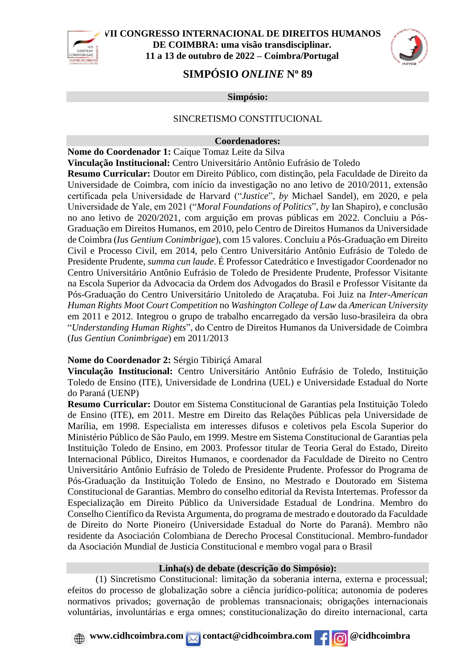



# **SIMPÓSIO** *ONLINE* **N<sup>o</sup> 89**

**Simpósio:**

#### SINCRETISMO CONSTITUCIONAL

#### **Coordenadores:**

**Nome do Coordenador 1:** Caíque Tomaz Leite da Silva **Vinculação Institucional:** Centro Universitário Antônio Eufrásio de Toledo

**Resumo Curricular:** Doutor em Direito Público, com distinção, pela Faculdade de Direito da Universidade de Coimbra, com início da investigação no ano letivo de 2010/2011, extensão certificada pela Universidade de Harvard ("*Justice*", *by* Michael Sandel), em 2020, e pela Universidade de Yale, em 2021 ("*Moral Foundations of Politics*", *by* Ian Shapiro), e conclusão no ano letivo de 2020/2021, com arguição em provas públicas em 2022. Concluiu a Pós-Graduação em Direitos Humanos, em 2010, pelo Centro de Direitos Humanos da Universidade de Coimbra (*Ius Gentium Conimbrigae*), com 15 valores. Concluiu a Pós-Graduação em Direito Civil e Processo Civil, em 2014, pelo Centro Universitário Antônio Eufrásio de Toledo de Presidente Prudente, *summa cun laude*. É Professor Catedrático e Investigador Coordenador no Centro Universitário Antônio Eufrásio de Toledo de Presidente Prudente, Professor Visitante na Escola Superior da Advocacia da Ordem dos Advogados do Brasil e Professor Visitante da Pós-Graduação do Centro Universitário Unitoledo de Araçatuba. Foi Juiz na *Inter-American Human Rights Moot Court Competition* no *Washington College of Law* da *American University* em 2011 e 2012. Integrou o grupo de trabalho encarregado da versão luso-brasileira da obra "*Understanding Human Rights*", do Centro de Direitos Humanos da Universidade de Coimbra (*Ius Gentiun Conimbrigae*) em 2011/2013

#### **Nome do Coordenador 2:** Sérgio Tibiriçá Amaral

**Vinculação Institucional:** Centro Universitário Antônio Eufrásio de Toledo, Instituição Toledo de Ensino (ITE), Universidade de Londrina (UEL) e Universidade Estadual do Norte do Paraná (UENP)

**Resumo Curricular:** Doutor em Sistema Constitucional de Garantias pela Instituição Toledo de Ensino (ITE), em 2011. Mestre em Direito das Relações Públicas pela Universidade de Marília, em 1998. Especialista em interesses difusos e coletivos pela Escola Superior do Ministério Público de São Paulo, em 1999. Mestre em Sistema Constitucional de Garantias pela Instituição Toledo de Ensino, em 2003. Professor titular de Teoria Geral do Estado, Direito Internacional Público, Direitos Humanos, e coordenador da Faculdade de Direito no Centro Universitário Antônio Eufrásio de Toledo de Presidente Prudente. Professor do Programa de Pós-Graduação da Instituição Toledo de Ensino, no Mestrado e Doutorado em Sistema Constitucional de Garantias. Membro do conselho editorial da Revista Intertemas. Professor da Especialização em Direito Público da Universidade Estadual de Londrina. Membro do Conselho Científico da Revista Argumenta, do programa de mestrado e doutorado da Faculdade de Direito do Norte Pioneiro (Universidade Estadual do Norte do Paraná). Membro não residente da Asociación Colombiana de Derecho Procesal Constitucional. Membro-fundador da Asociación Mundial de Justicia Constitucional e membro vogal para o Brasil

#### **Linha(s) de debate (descrição do Simpósio):**

(1) Sincretismo Constitucional: limitação da soberania interna, externa e processual; efeitos do processo de globalização sobre a ciência jurídico-política; autonomia de poderes normativos privados; governação de problemas transnacionais; obrigações internacionais voluntárias, involuntárias e erga omnes; constitucionalização do direito internacional, carta

**A** www.cidhcoimbra.com contact@cidhcoimbra.com for @cidhcoimbra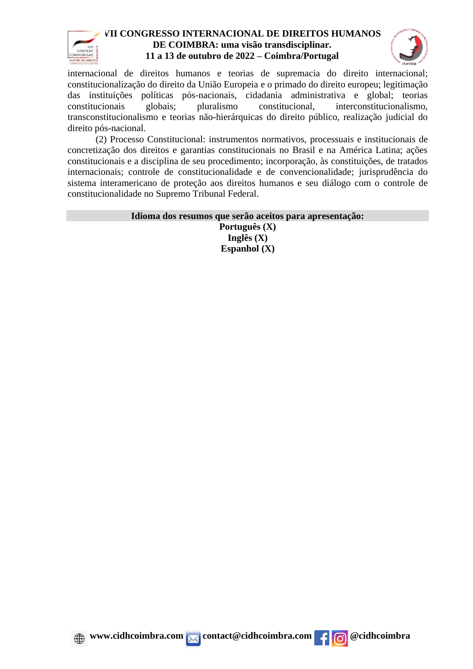



internacional de direitos humanos e teorias de supremacia do direito internacional; constitucionalização do direito da União Europeia e o primado do direito europeu; legitimação das instituições políticas pós-nacionais, cidadania administrativa e global; teorias constitucionais globais; pluralismo constitucional, interconstitucionalismo, transconstitucionalismo e teorias não-hierárquicas do direito público, realização judicial do direito pós-nacional.

(2) Processo Constitucional: instrumentos normativos, processuais e institucionais de concretização dos direitos e garantias constitucionais no Brasil e na América Latina; ações constitucionais e a disciplina de seu procedimento; incorporação, às constituições, de tratados internacionais; controle de constitucionalidade e de convencionalidade; jurisprudência do sistema interamericano de proteção aos direitos humanos e seu diálogo com o controle de constitucionalidade no Supremo Tribunal Federal.

#### **Idioma dos resumos que serão aceitos para apresentação:**

**Português (X) Inglês (X) Espanhol (X)**



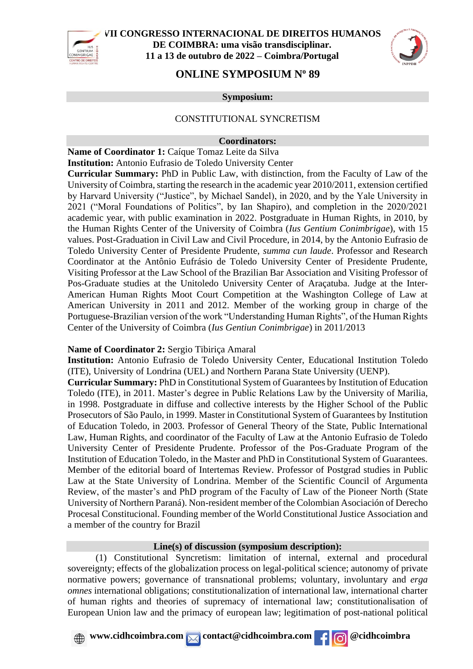



# **ONLINE SYMPOSIUM N<sup>o</sup> 89**

#### **Symposium:**

#### CONSTITUTIONAL SYNCRETISM

#### **Coordinators:**

**Name of Coordinator 1:** Caíque Tomaz Leite da Silva **Institution:** Antonio Eufrasio de Toledo University Center

**Curricular Summary:** PhD in Public Law, with distinction, from the Faculty of Law of the University of Coimbra, starting the research in the academic year 2010/2011, extension certified by Harvard University ("Justice", by Michael Sandel), in 2020, and by the Yale University in 2021 ("Moral Foundations of Politics", by Ian Shapiro), and completion in the 2020/2021 academic year, with public examination in 2022. Postgraduate in Human Rights, in 2010, by the Human Rights Center of the University of Coimbra (*Ius Gentium Conimbrigae*), with 15 values. Post-Graduation in Civil Law and Civil Procedure, in 2014, by the Antonio Eufrasio de Toledo University Center of Presidente Prudente, *summa cun laude*. Professor and Research Coordinator at the Antônio Eufrásio de Toledo University Center of Presidente Prudente, Visiting Professor at the Law School of the Brazilian Bar Association and Visiting Professor of Pos-Graduate studies at the Unitoledo University Center of Araçatuba. Judge at the Inter-American Human Rights Moot Court Competition at the Washington College of Law at American University in 2011 and 2012. Member of the working group in charge of the Portuguese-Brazilian version of the work "Understanding Human Rights", of the Human Rights Center of the University of Coimbra (*Ius Gentiun Conimbrigae*) in 2011/2013

#### **Name of Coordinator 2:** Sergio Tibiriça Amaral

**Institution:** Antonio Eufrasio de Toledo University Center, Educational Institution Toledo (ITE), University of Londrina (UEL) and Northern Parana State University (UENP).

**Curricular Summary:** PhD in Constitutional System of Guarantees by Institution of Education Toledo (ITE), in 2011. Master's degree in Public Relations Law by the University of Marilia, in 1998. Postgraduate in diffuse and collective interests by the Higher School of the Public Prosecutors of São Paulo, in 1999. Master in Constitutional System of Guarantees by Institution of Education Toledo, in 2003. Professor of General Theory of the State, Public International Law, Human Rights, and coordinator of the Faculty of Law at the Antonio Eufrasio de Toledo University Center of Presidente Prudente. Professor of the Pos-Graduate Program of the Institution of Education Toledo, in the Master and PhD in Constitutional System of Guarantees. Member of the editorial board of Intertemas Review. Professor of Postgrad studies in Public Law at the State University of Londrina. Member of the Scientific Council of Argumenta Review, of the master's and PhD program of the Faculty of Law of the Pioneer North (State University of Northern Paraná). Non-resident member of the Colombian Asociación of Derecho Procesal Constitucional. Founding member of the World Constitutional Justice Association and a member of the country for Brazil

#### **Line(s) of discussion (symposium description):**

(1) Constitutional Syncretism: limitation of internal, external and procedural sovereignty; effects of the globalization process on legal-political science; autonomy of private normative powers; governance of transnational problems; voluntary, involuntary and *erga omnes* international obligations; constitutionalization of international law, international charter of human rights and theories of supremacy of international law; constitutionalisation of European Union law and the primacy of european law; legitimation of post-national political

## **A** www.cidhcoimbra.com contact@cidhcoimbra.com for @cidhcoimbra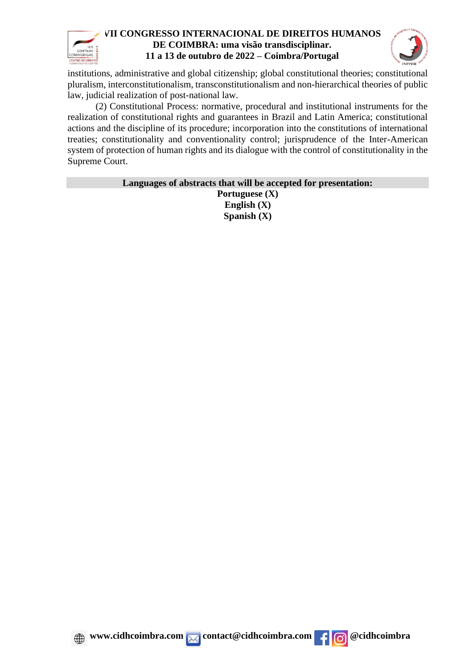



institutions, administrative and global citizenship; global constitutional theories; constitutional pluralism, interconstitutionalism, transconstitutionalism and non-hierarchical theories of public law, judicial realization of post-national law.

(2) Constitutional Process: normative, procedural and institutional instruments for the realization of constitutional rights and guarantees in Brazil and Latin America; constitutional actions and the discipline of its procedure; incorporation into the constitutions of international treaties; constitutionality and conventionality control; jurisprudence of the Inter-American system of protection of human rights and its dialogue with the control of constitutionality in the Supreme Court.

> **Languages of abstracts that will be accepted for presentation: Portuguese (X) English (X) Spanish (X)**



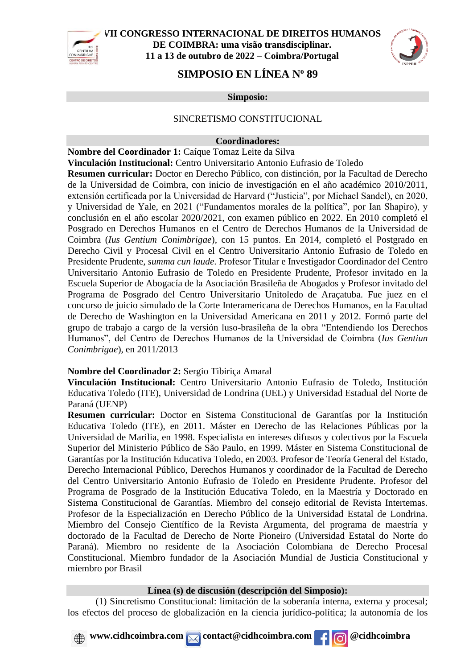



# **SIMPOSIO EN LÍNEA N<sup>o</sup> 89**

**Simposio:**

#### SINCRETISMO CONSTITUCIONAL

#### **Coordinadores:**

**Nombre del Coordinador 1:** Caíque Tomaz Leite da Silva **Vinculación Institucional:** Centro Universitario Antonio Eufrasio de Toledo **Resumen curricular:** Doctor en Derecho Público, con distinción, por la Facultad de Derecho de la Universidad de Coimbra, con inicio de investigación en el año académico 2010/2011, extensión certificada por la Universidad de Harvard ("Justicia", por Michael Sandel), en 2020, y Universidad de Yale, en 2021 ("Fundamentos morales de la política", por Ian Shapiro), y conclusión en el año escolar 2020/2021, con examen público en 2022. En 2010 completó el Posgrado en Derechos Humanos en el Centro de Derechos Humanos de la Universidad de Coimbra (*Ius Gentium Conimbrigae*), con 15 puntos. En 2014, completó el Postgrado en Derecho Civil y Procesal Civil en el Centro Universitario Antonio Eufrasio de Toledo en Presidente Prudente, *summa cun laude*. Profesor Titular e Investigador Coordinador del Centro Universitario Antonio Eufrasio de Toledo en Presidente Prudente, Profesor invitado en la Escuela Superior de Abogacía de la Asociación Brasileña de Abogados y Profesor invitado del Programa de Posgrado del Centro Universitario Unitoledo de Araçatuba. Fue juez en el concurso de juicio simulado de la Corte Interamericana de Derechos Humanos, en la Facultad de Derecho de Washington en la Universidad Americana en 2011 y 2012. Formó parte del grupo de trabajo a cargo de la versión luso-brasileña de la obra "Entendiendo los Derechos Humanos", del Centro de Derechos Humanos de la Universidad de Coimbra (*Ius Gentiun Conimbrigae*), en 2011/2013

## **Nombre del Coordinador 2:** Sergio Tibiriça Amaral

**Vinculación Institucional:** Centro Universitario Antonio Eufrasio de Toledo, Institución Educativa Toledo (ITE), Universidad de Londrina (UEL) y Universidad Estadual del Norte de Paraná (UENP)

**Resumen curricular:** Doctor en Sistema Constitucional de Garantías por la Institución Educativa Toledo (ITE), en 2011. Máster en Derecho de las Relaciones Públicas por la Universidad de Marilia, en 1998. Especialista en intereses difusos y colectivos por la Escuela Superior del Ministerio Público de São Paulo, en 1999. Máster en Sistema Constitucional de Garantías por la Institución Educativa Toledo, en 2003. Profesor de Teoría General del Estado, Derecho Internacional Público, Derechos Humanos y coordinador de la Facultad de Derecho del Centro Universitario Antonio Eufrasio de Toledo en Presidente Prudente. Profesor del Programa de Posgrado de la Institución Educativa Toledo, en la Maestría y Doctorado en Sistema Constitucional de Garantías. Miembro del consejo editorial de Revista Intertemas. Profesor de la Especialización en Derecho Público de la Universidad Estatal de Londrina. Miembro del Consejo Científico de la Revista Argumenta, del programa de maestría y doctorado de la Facultad de Derecho de Norte Pioneiro (Universidad Estatal do Norte do Paraná). Miembro no residente de la Asociación Colombiana de Derecho Procesal Constitucional. Miembro fundador de la Asociación Mundial de Justicia Constitucional y miembro por Brasil

### **Línea (s) de discusión (descripción del Simposio):**

(1) Sincretismo Constitucional: limitación de la soberanía interna, externa y procesal; los efectos del proceso de globalización en la ciencia jurídico-política; la autonomía de los

**A** www.cidhcoimbra.com contact@cidhcoimbra.com for @cidhcoimbra